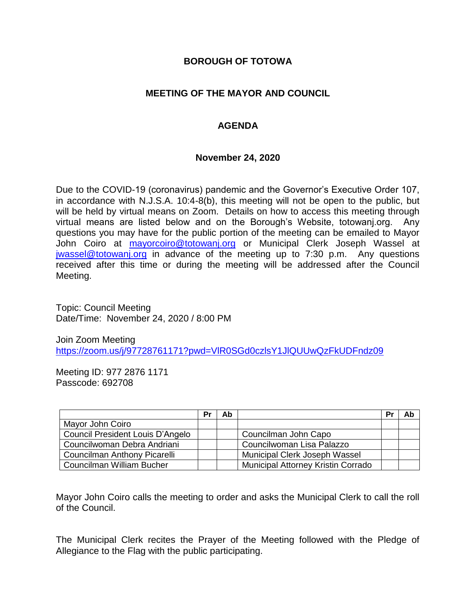## **BOROUGH OF TOTOWA**

# **MEETING OF THE MAYOR AND COUNCIL**

# **AGENDA**

### **November 24, 2020**

Due to the COVID-19 (coronavirus) pandemic and the Governor's Executive Order 107, in accordance with N.J.S.A. 10:4-8(b), this meeting will not be open to the public, but will be held by virtual means on Zoom. Details on how to access this meeting through virtual means are listed below and on the Borough's Website, totowanj.org. Any questions you may have for the public portion of the meeting can be emailed to Mayor John Coiro at [mayorcoiro@totowanj.org](mailto:mayorcoiro@totowanj.org) or Municipal Clerk Joseph Wassel at [jwassel@totowanj.org](mailto:jwassel@totowanj.org) in advance of the meeting up to 7:30 p.m. Any questions received after this time or during the meeting will be addressed after the Council Meeting.

Topic: Council Meeting Date/Time: November 24, 2020 / 8:00 PM

Join Zoom Meeting <https://zoom.us/j/97728761171?pwd=VlR0SGd0czlsY1JlQUUwQzFkUDFndz09>

Meeting ID: 977 2876 1171 Passcode: 692708

|                                  | Pr | Ab |                                           | Pr | Ab |
|----------------------------------|----|----|-------------------------------------------|----|----|
| Mayor John Coiro                 |    |    |                                           |    |    |
| Council President Louis D'Angelo |    |    | Councilman John Capo                      |    |    |
| Councilwoman Debra Andriani      |    |    | Councilwoman Lisa Palazzo                 |    |    |
| Councilman Anthony Picarelli     |    |    | Municipal Clerk Joseph Wassel             |    |    |
| Councilman William Bucher        |    |    | <b>Municipal Attorney Kristin Corrado</b> |    |    |

Mayor John Coiro calls the meeting to order and asks the Municipal Clerk to call the roll of the Council.

The Municipal Clerk recites the Prayer of the Meeting followed with the Pledge of Allegiance to the Flag with the public participating.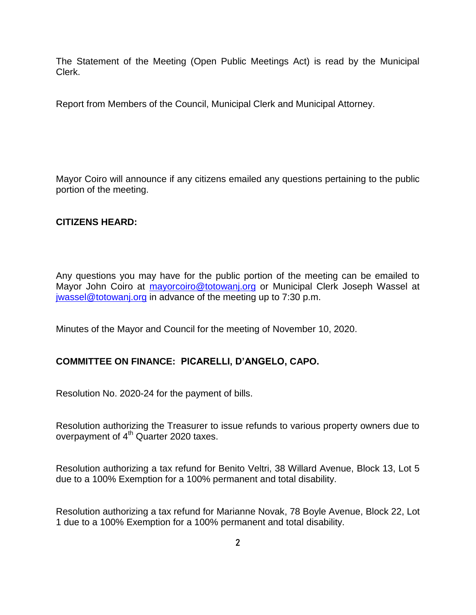The Statement of the Meeting (Open Public Meetings Act) is read by the Municipal Clerk.

Report from Members of the Council, Municipal Clerk and Municipal Attorney.

Mayor Coiro will announce if any citizens emailed any questions pertaining to the public portion of the meeting.

# **CITIZENS HEARD:**

Any questions you may have for the public portion of the meeting can be emailed to Mayor John Coiro at [mayorcoiro@totowanj.org](mailto:mayorcoiro@totowanj.org) or Municipal Clerk Joseph Wassel at [jwassel@totowanj.org](mailto:jwassel@totowanj.org) in advance of the meeting up to 7:30 p.m.

Minutes of the Mayor and Council for the meeting of November 10, 2020.

### **COMMITTEE ON FINANCE: PICARELLI, D'ANGELO, CAPO.**

Resolution No. 2020-24 for the payment of bills.

Resolution authorizing the Treasurer to issue refunds to various property owners due to overpayment of  $4<sup>th</sup>$  Quarter 2020 taxes.

Resolution authorizing a tax refund for Benito Veltri, 38 Willard Avenue, Block 13, Lot 5 due to a 100% Exemption for a 100% permanent and total disability.

Resolution authorizing a tax refund for Marianne Novak, 78 Boyle Avenue, Block 22, Lot 1 due to a 100% Exemption for a 100% permanent and total disability.